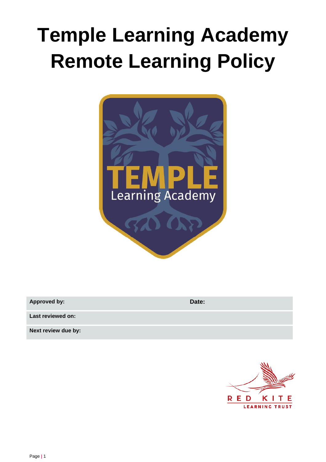# **Temple Learning Academy Remote Learning Policy**



| <b>Approved by:</b> | Date: |
|---------------------|-------|
| Last reviewed on:   |       |
| Next review due by: |       |

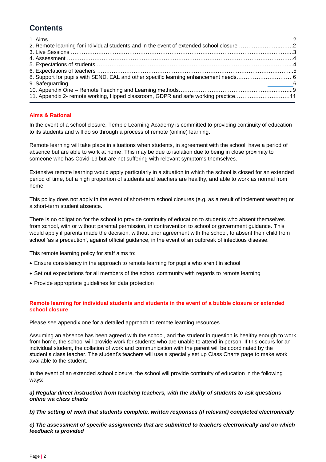# **Contents**

| 2. Remote learning for individual students and in the event of extended school closure 2 |
|------------------------------------------------------------------------------------------|
|                                                                                          |
|                                                                                          |
|                                                                                          |
|                                                                                          |
|                                                                                          |
|                                                                                          |
|                                                                                          |
| 11. Appendix 2- remote working, flipped classroom, GDPR and safe working practice11      |
|                                                                                          |

# <span id="page-1-0"></span>**Aims & Rational**

In the event of a school closure, Temple Learning Academy is committed to providing continuity of education to its students and will do so through a process of remote (online) learning.

Remote learning will take place in situations when students, in agreement with the school, have a period of absence but are able to work at home. This may be due to isolation due to being in close proximity to someone who has Covid-19 but are not suffering with relevant symptoms themselves.

Extensive remote learning would apply particularly in a situation in which the school is closed for an extended period of time, but a high proportion of students and teachers are healthy, and able to work as normal from home.

This policy does not apply in the event of short-term school closures (e.g. as a result of inclement weather) or a short-term student absence.

There is no obligation for the school to provide continuity of education to students who absent themselves from school, with or without parental permission, in contravention to school or government guidance. This would apply if parents made the decision, without prior agreement with the school, to absent their child from school 'as a precaution', against official guidance, in the event of an outbreak of infectious disease.

This remote learning policy for staff aims to:

- Ensure consistency in the approach to remote learning for pupils who aren't in school
- Set out expectations for all members of the school community with regards to remote learning
- Provide appropriate guidelines for data protection

# **Remote learning for individual students and students in the event of a bubble closure or extended school closure**

Please see appendix one for a detailed approach to remote learning resources.

Assuming an absence has been agreed with the school, and the student in question is healthy enough to work from home, the school will provide work for students who are unable to attend in person. If this occurs for an individual student, the collation of work and communication with the parent will be coordinated by the student's class teacher. The student's teachers will use a specially set up Class Charts page to make work available to the student.

In the event of an extended school closure, the school will provide continuity of education in the following ways:

# *a) Regular direct instruction from teaching teachers, with the ability of students to ask questions online via class charts*

#### *b) The setting of work that students complete, written responses (if relevant) completed electronically*

*c) The assessment of specific assignments that are submitted to teachers electronically and on which feedback is provided*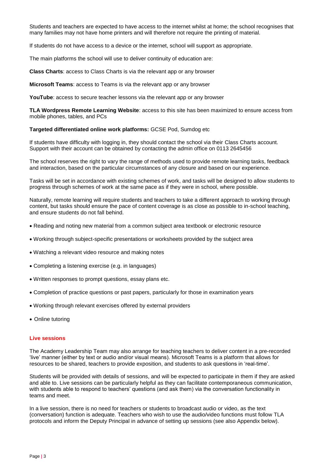Students and teachers are expected to have access to the internet whilst at home; the school recognises that many families may not have home printers and will therefore not require the printing of material.

If students do not have access to a device or the internet, school will support as appropriate.

The main platforms the school will use to deliver continuity of education are:

**Class Charts**: access to Class Charts is via the relevant app or any browser

**Microsoft Teams**: access to Teams is via the relevant app or any browser

**YouTube**: access to secure teacher lessons via the relevant app or any browser

**TLA Wordpress Remote Learning Website**: access to this site has been maximized to ensure access from mobile phones, tables, and PCs

**Targeted differentiated online work platforms:** GCSE Pod, Sumdog etc

If students have difficulty with logging in, they should contact the school via their Class Charts account. Support with their account can be obtained by contacting the admin office on 0113 2645456

The school reserves the right to vary the range of methods used to provide remote learning tasks, feedback and interaction, based on the particular circumstances of any closure and based on our experience.

Tasks will be set in accordance with existing schemes of work, and tasks will be designed to allow students to progress through schemes of work at the same pace as if they were in school, where possible.

Naturally, remote learning will require students and teachers to take a different approach to working through content, but tasks should ensure the pace of content coverage is as close as possible to in-school teaching, and ensure students do not fall behind.

- Reading and noting new material from a common subject area textbook or electronic resource
- Working through subject-specific presentations or worksheets provided by the subject area
- Watching a relevant video resource and making notes
- Completing a listening exercise (e.g. in languages)
- Written responses to prompt questions, essay plans etc.
- Completion of practice questions or past papers, particularly for those in examination years
- Working through relevant exercises offered by external providers
- Online tutoring

#### **Live sessions**

The Academy Leadership Team may also arrange for teaching teachers to deliver content in a pre-recorded 'live' manner (either by text or audio and/or visual means). Microsoft Teams is a platform that allows for resources to be shared, teachers to provide exposition, and students to ask questions in 'real-time'.

Students will be provided with details of sessions, and will be expected to participate in them if they are asked and able to. Live sessions can be particularly helpful as they can facilitate contemporaneous communication, with students able to respond to teachers' questions (and ask them) via the conversation functionality in teams and meet.

In a live session, there is no need for teachers or students to broadcast audio or video, as the text (conversation) function is adequate. Teachers who wish to use the audio/video functions must follow TLA protocols and inform the Deputy Principal in advance of setting up sessions (see also Appendix below).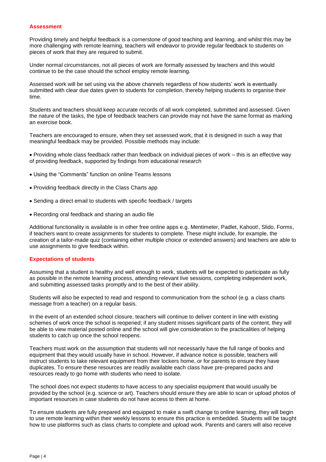#### **Assessment**

Providing timely and helpful feedback is a cornerstone of good teaching and learning, and whilst this may be more challenging with remote learning, teachers will endeavor to provide regular feedback to students on pieces of work that they are required to submit.

Under normal circumstances, not all pieces of work are formally assessed by teachers and this would continue to be the case should the school employ remote learning.

Assessed work will be set using via the above channels regardless of how students' work is eventually submitted with clear due dates given to students for completion, thereby helping students to organise their time.

Students and teachers should keep accurate records of all work completed, submitted and assessed. Given the nature of the tasks, the type of feedback teachers can provide may not have the same format as marking an exercise book.

Teachers are encouraged to ensure, when they set assessed work, that it is designed in such a way that meaningful feedback may be provided. Possible methods may include:

• Providing whole class feedback rather than feedback on individual pieces of work – this is an effective way of providing feedback, supported by findings from educational research

- Using the "Comments" function on online Teams lessons
- Providing feedback directly in the Class Charts app
- Sending a direct email to students with specific feedback / targets
- Recording oral feedback and sharing an audio file

Additional functionality is available is in other free online apps e.g. Mentimeter, Padlet, Kahoot!, Slido, Forms, if teachers want to create assignments for students to complete. These might include, for example, the creation of a tailor-made quiz (containing either multiple choice or extended answers) and teachers are able to use assignments to give feedback within.

#### **Expectations of students**

Assuming that a student is healthy and well enough to work, students will be expected to participate as fully as possible in the remote learning process, attending relevant live sessions, completing independent work, and submitting assessed tasks promptly and to the best of their ability.

Students will also be expected to read and respond to communication from the school (e.g. a class charts message from a teacher) on a regular basis.

In the event of an extended school closure, teachers will continue to deliver content in line with existing schemes of work once the school is reopened; if any student misses significant parts of the content, they will be able to view material posted online and the school will give consideration to the practicalities of helping students to catch up once the school reopens.

Teachers must work on the assumption that students will not necessarily have the full range of books and equipment that they would usually have in school. However, if advance notice is possible, teachers will instruct students to take relevant equipment from their lockers home, or for parents to ensure they have duplicates. To ensure these resources are readily available each class have pre-prepared packs and resources ready to go home with students who need to isolate.

The school does not expect students to have access to any specialist equipment that would usually be provided by the school (e.g. science or art). Teachers should ensure they are able to scan or upload photos of important resources in case students do not have access to them at home.

To ensure students are fully prepared and equipped to make a swift change to online learning, they will begin to use remote learning within their weekly lessons to ensure this practice is embedded. Students will be taught how to use platforms such as class charts to complete and upload work. Parents and carers will also receive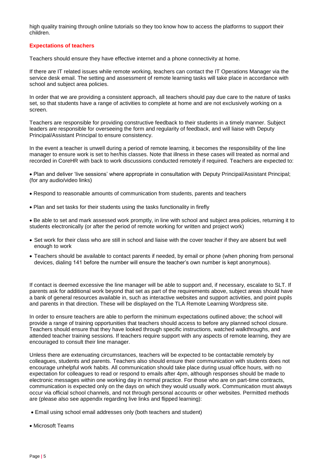high quality training through online tutorials so they too know how to access the platforms to support their children.

# **Expectations of teachers**

Teachers should ensure they have effective internet and a phone connectivity at home.

If there are IT related issues while remote working, teachers can contact the IT Operations Manager via the service desk email. The setting and assessment of remote learning tasks will take place in accordance with school and subject area policies.

In order that we are providing a consistent approach, all teachers should pay due care to the nature of tasks set, so that students have a range of activities to complete at home and are not exclusively working on a screen.

Teachers are responsible for providing constructive feedback to their students in a timely manner. Subject leaders are responsible for overseeing the form and regularity of feedback, and will liaise with Deputy Principal/Assistant Principal to ensure consistency.

In the event a teacher is unwell during a period of remote learning, it becomes the responsibility of the line manager to ensure work is set to her/his classes. Note that illness in these cases will treated as normal and recorded in CoreHR with back to work discussions conducted remotely if required. Teachers are expected to:

• Plan and deliver 'live sessions' where appropriate in consultation with Deputy Principal/Assistant Principal; (for any audio/video links)

- Respond to reasonable amounts of communication from students, parents and teachers
- Plan and set tasks for their students using the tasks functionality in firefly

• Be able to set and mark assessed work promptly, in line with school and subject area policies, returning it to students electronically (or after the period of remote working for written and project work)

- Set work for their class who are still in school and liaise with the cover teacher if they are absent but well enough to work
- Teachers should be available to contact parents if needed, by email or phone (when phoning from personal devices, dialing 141 before the number will ensure the teacher's own number is kept anonymous).

If contact is deemed excessive the line manager will be able to support and, if necessary, escalate to SLT. If parents ask for additional work beyond that set as part of the requirements above, subject areas should have a bank of general resources available in, such as interactive websites and support activities, and point pupils and parents in that direction. These will be displayed on the TLA Remote Learning Wordpress site.

In order to ensure teachers are able to perform the minimum expectations outlined above; the school will provide a range of training opportunities that teachers should access to before any planned school closure. Teachers should ensure that they have looked through specific instructions, watched walkthroughs, and attended teacher training sessions. If teachers require support with any aspects of remote learning, they are encouraged to consult their line manager.

Unless there are extenuating circumstances, teachers will be expected to be contactable remotely by colleagues, students and parents. Teachers also should ensure their communication with students does not encourage unhelpful work habits. All communication should take place during usual office hours, with no expectation for colleagues to read or respond to emails after 4pm, although responses should be made to electronic messages within one working day in normal practice. For those who are on part-time contracts, communication is expected only on the days on which they would usually work. Communication must always occur via official school channels, and not through personal accounts or other websites. Permitted methods are (please also see appendix regarding live links and flipped learning):

- Email using school email addresses only (both teachers and student)
- Microsoft Teams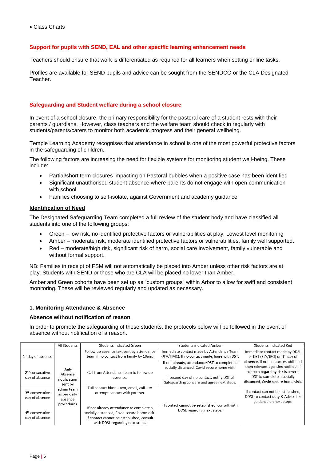# **Support for pupils with SEND, EAL and other specific learning enhancement needs**

Teachers should ensure that work is differentiated as required for all learners when setting online tasks.

Profiles are available for SEND pupils and advice can be sought from the SENDCO or the CLA Designated **Teacher** 

# **Safeguarding and Student welfare during a school closure**

In event of a school closure, the primary responsibility for the pastoral care of a student rests with their parents / guardians. However, class teachers and the welfare team should check in regularly with students/parents/carers to monitor both academic progress and their general wellbeing.

Temple Learning Academy recognises that attendance in school is one of the most powerful protective factors in the safeguarding of children.

The following factors are increasing the need for flexible systems for monitoring student well-being. These include:

- Partial/short term closures impacting on Pastoral bubbles when a positive case has been identified
- Significant unauthorised student absence where parents do not engage with open communication with school
- Families choosing to self-isolate, against Government and academy guidance

# **Identification of Need**

The Designated Safeguarding Team completed a full review of the student body and have classified all students into one of the following groups:

- Green low risk, no identified protective factors or vulnerabilities at play. Lowest level monitoring
- Amber moderate risk, moderate identified protective factors or vulnerabilities, family well supported.
- Red moderate/high risk, significant risk of harm, social care involvement, family vulnerable and without formal support.

NB: Families in receipt of FSM will not automatically be placed into Amber unless other risk factors are at play. Students with SEND or those who are CLA will be placed no lower than Amber.

Amber and Green cohorts have been set up as "custom groups" within Arbor to allow for swift and consistent monitoring. These will be reviewed regularly and updated as necessary.

#### **1. Monitoring Attendance & Absence**

# **Absence without notification of reason**

In order to promote the safeguarding of these students, the protocols below will be followed in the event of absence without notification of a reason.

|                                               | All Students                                        | <b>Students indicated Green</b>                                                                                                                                         | <b>Students indicated Amber</b>                                                                                                                                                          | Students indicated Red                                                                                                                                                               |
|-----------------------------------------------|-----------------------------------------------------|-------------------------------------------------------------------------------------------------------------------------------------------------------------------------|------------------------------------------------------------------------------------------------------------------------------------------------------------------------------------------|--------------------------------------------------------------------------------------------------------------------------------------------------------------------------------------|
| 1 <sup>st</sup> day of absence                | Daily<br>Absence<br>notification<br>sent by         | Follow up absence text sent by attendance<br>team if no contact from family by 10am.                                                                                    | Immediate contact made by Attendance Team<br>(JFA/HMC). If no contact made, liaise with DST.                                                                                             | Immediate contact made by DDSL<br>or DST (ELY/JRO) on 1st day of                                                                                                                     |
| 2 <sup>nd</sup> consecutive<br>day of absence |                                                     | Call from Attendance team to follow up<br>absence.                                                                                                                      | If not already, attendance/DST to complete a<br>socially distanced, Covid secure home visit.<br>If second day of no contact, notify DST of<br>Safeguarding concern and agree next steps. | absence. If not contact established<br>then relevant agencies notified. If<br>concern regarding risk is severe,<br>DST to complete a socially<br>distanced, Covid secure home visit. |
| 3 <sup>rd</sup> consecutive<br>day of absence | admin team<br>as per daily<br>absence<br>procedures | Full contact blast - text, email, call - to<br>attempt contact with parents.                                                                                            |                                                                                                                                                                                          | If contact can not be established,<br>DDSL to contact duty & Advice for<br>guidance on next steps.                                                                                   |
| 4 <sup>th</sup> consecutive<br>day of absence |                                                     | If not already attendance to complete a<br>socially distanced, Covid secure home visit.<br>If contact cannot be established, consult<br>with DDSL regarding next steps. | If contact cannot be established, consult with<br>DDSL regarding next steps.                                                                                                             |                                                                                                                                                                                      |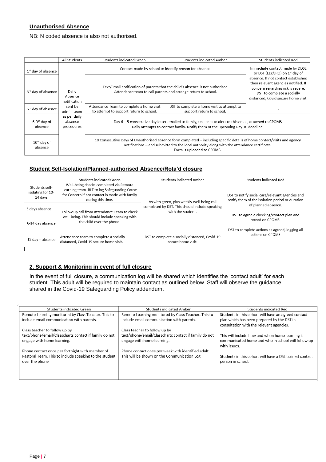# **Unauthorised Absence**

NB: N coded absence is also not authorised.

|                                     | All Students                          | Students indicated Green                                                                                                                                                                                                                               | <b>Students indicated Amber</b>                                                                                                                                                           | <b>Students indicated Red</b>                                                                                                                                                        |  |  |
|-------------------------------------|---------------------------------------|--------------------------------------------------------------------------------------------------------------------------------------------------------------------------------------------------------------------------------------------------------|-------------------------------------------------------------------------------------------------------------------------------------------------------------------------------------------|--------------------------------------------------------------------------------------------------------------------------------------------------------------------------------------|--|--|
| $1st$ day of absence                |                                       | Contact made by school to identify reason for absence.                                                                                                                                                                                                 |                                                                                                                                                                                           | Immediate contact made by DDSL<br>or DST (ELY/JRO) on 1 <sup>st</sup> day of                                                                                                         |  |  |
| 3rd day of absence                  | Daily<br>Absence<br>notification      |                                                                                                                                                                                                                                                        | Text/Email notification of parents that the child's absence is not authorised.<br>Attendance team to call parents and arrange return to school.                                           | absence. If not contact established<br>then relevant agencies notified. If<br>concern regarding risk is severe,<br>DST to complete a socially<br>distanced, Covid secure home visit. |  |  |
| 5 <sup>th</sup> day of absence      | sent by<br>admin team                 | Attendance Team to complete a home visit<br>to attempt to support return to school.                                                                                                                                                                    | DST to complete a home visit to attempt to<br>support return to school.                                                                                                                   |                                                                                                                                                                                      |  |  |
| 6-9 <sup>th</sup> day of<br>absence | as per daily<br>absence<br>procedures |                                                                                                                                                                                                                                                        | Day 6 - 5 consecutive day letter emailed to family, text sent to alert to this email, attached to CPOMS<br>Daily attempts to contact family. Notify them of the upcoming Day 10 deadline. |                                                                                                                                                                                      |  |  |
| $10th$ day of<br>absence            |                                       | 10 Consecutive Days of Unauthorised absence form completed – including specific details of home contact/visits and agency<br>notifications – and submitted to the local authority along with the attendance certificate.<br>Form is uploaded to CPOMS. |                                                                                                                                                                                           |                                                                                                                                                                                      |  |  |

# **Student Self-Isolation/Planned-authorised Absence/Rota'd closure**

|                                                | Students indicated Green                                                                                                                                      | <b>Students indicated Amber</b>                                      | <b>Students indicated Red</b>                                                                                                                                         |  |
|------------------------------------------------|---------------------------------------------------------------------------------------------------------------------------------------------------------------|----------------------------------------------------------------------|-----------------------------------------------------------------------------------------------------------------------------------------------------------------------|--|
| Students self-<br>isolating for 10-<br>14 davs | Well-being checks completed via Remote<br>Learning team. RLT to log Safeguarding Cause<br>for Concern if not contact is made with family<br>during this time. | As with green, plus weekly well-being call                           | DST to notify social care/relevant agencies and<br>notify them of the isolation period or duration<br>of planned absence.<br>DST to agree a checking/contact plan and |  |
| 5 days absence                                 | Follow up call from Attendance Team to check<br>well-being. This should include speaking with<br>the child over the phone.                                    | completed by DST. This should include speaking<br>with the student.  |                                                                                                                                                                       |  |
| 6-14 day absence                               |                                                                                                                                                               |                                                                      | record on CPOMS.<br>DST to complete actions as agreed, logging all                                                                                                    |  |
| 15 day + absence                               | Attendance team to complete a socially<br>distanced, Covid-19 secure home visit.                                                                              | DST to complete a socially distanced, Covid-19<br>secure home visit. | actions on CPOMS                                                                                                                                                      |  |
|                                                |                                                                                                                                                               |                                                                      |                                                                                                                                                                       |  |

# **2. Support & Monitoring in event of full closure**

In the event of full closure, a communication log will be shared which identifies the 'contact adult' for each student. This adult will be required to maintain contact as outlined below. Staff will observe the guidance shared in the Covid-19 Safeguarding Policy addendum.

| Students indicated Green                                                 | <b>Students indicated Amber</b>                       | Students indicated Red                                                       |
|--------------------------------------------------------------------------|-------------------------------------------------------|------------------------------------------------------------------------------|
| Remote Learning monitored by Class Teacher. This to                      | Remote Learning monitored by Class Teacher. This to   | Students in this cohort will have an agreed contact                          |
| include email communication with parents.                                | include email communication with parents.             | plan which has been prepared by the DST in                                   |
|                                                                          |                                                       | consultation with the relevant agencies.                                     |
| Class teacher to follow up by                                            | Class teacher to follow up by                         |                                                                              |
| text/phone/email/Classcharts contact if family do not                    | text/phone/email/Classcharts contact if family do not | This will include how and when home learning is                              |
| engage with home learning.                                               | engage with home learning.                            | communicated home and who in school will follow up                           |
|                                                                          |                                                       | with issues.                                                                 |
| Phone contact once per fortnight with member of                          | Phone contact once per week with identified adult.    |                                                                              |
| Pastoral Team. This to include speaking to the student<br>over the phone | This will be shown on the Communication Log.          | Students in this cohort will have a DSL trained contact<br>person in school. |
|                                                                          |                                                       |                                                                              |
|                                                                          |                                                       |                                                                              |
|                                                                          |                                                       |                                                                              |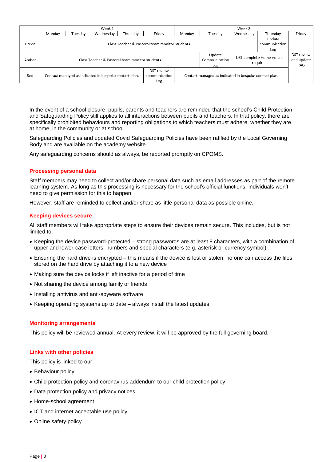|       | Week 1                                                                                      |         |           |          |                                                       |                                |                         | Week 2                                   |                                 |        |
|-------|---------------------------------------------------------------------------------------------|---------|-----------|----------|-------------------------------------------------------|--------------------------------|-------------------------|------------------------------------------|---------------------------------|--------|
|       | Monday                                                                                      | Tuesdav | Wednesday | Thursday | Fridav                                                | Monday                         | Tuesdav                 | Wednesday                                | Thursday                        | Friday |
| Green | Class Teacher & Pastoral team monitor students                                              |         |           |          |                                                       |                                | Update<br>communication |                                          |                                 |        |
|       |                                                                                             |         |           |          |                                                       |                                | Log                     |                                          |                                 |        |
| Amber | Class Teacher & Pastoral team monitor students                                              |         |           |          |                                                       | Update<br>Communication<br>Log |                         | DST complete Home visits if<br>required. | DST review<br>and update<br>RAG |        |
| Red   | DST review<br>communication<br>Contact managed as indicated in bespoke contact plan.<br>Log |         |           |          | Contact managed as indicated in bespoke contact plan. |                                |                         |                                          |                                 |        |

In the event of a school closure, pupils, parents and teachers are reminded that the school's Child Protection and Safeguarding Policy still applies to all interactions between pupils and teachers. In that policy, there are specifically prohibited behaviours and reporting obligations to which teachers must adhere, whether they are at home, in the community or at school.

Safeguarding Policies and updated Covid Safeguarding Policies have been ratified by the Local Governing Body and are available on the academy website.

Any safeguarding concerns should as always, be reported promptly on CPOMS.

# **Processing personal data**

Staff members may need to collect and/or share personal data such as email addresses as part of the remote learning system. As long as this processing is necessary for the school's official functions, individuals won't need to give permission for this to happen.

However, staff are reminded to collect and/or share as little personal data as possible online.

# **Keeping devices secure**

All staff members will take appropriate steps to ensure their devices remain secure. This includes, but is not limited to:

- Keeping the device password-protected strong passwords are at least 8 characters, with a combination of upper and lower-case letters, numbers and special characters (e.g. asterisk or currency symbol)
- Ensuring the hard drive is encrypted this means if the device is lost or stolen, no one can access the files stored on the hard drive by attaching it to a new device
- Making sure the device locks if left inactive for a period of time
- Not sharing the device among family or friends
- Installing antivirus and anti-spyware software
- Keeping operating systems up to date always install the latest updates

#### **Monitoring arrangements**

This policy will be reviewed annual. At every review, it will be approved by the full governing board.

#### **Links with other policies**

This policy is linked to our:

- Behaviour policy
- Child protection policy and coronavirus addendum to our child protection policy
- Data protection policy and privacy notices
- Home-school agreement
- ICT and internet acceptable use policy
- Online safety policy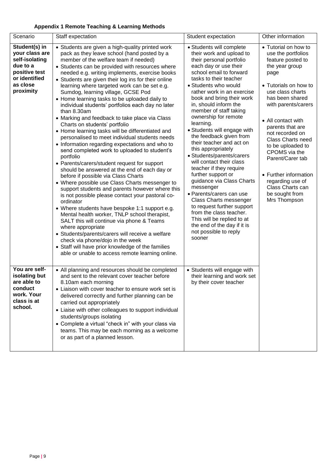# **Appendix 1 Remote Teaching & Learning Methods**

| Scenario                                                                                                                 |                                                                                                                                                                                                                                                                                                                                                                                                                                                                                                                                                                                                                                                                                                                                                                                                                                                                                                                                                                                                                                                                                                                                                                                                                                                                                                                                                                                                                                                                                                            |                                                                                                                                                                                                                                                                                                                                                                                                                                                                                                                                                                                                                                                                                                                                                                                                                                 | Other information                                                                                                                                                                                                                                                                                                                                                                                                               |
|--------------------------------------------------------------------------------------------------------------------------|------------------------------------------------------------------------------------------------------------------------------------------------------------------------------------------------------------------------------------------------------------------------------------------------------------------------------------------------------------------------------------------------------------------------------------------------------------------------------------------------------------------------------------------------------------------------------------------------------------------------------------------------------------------------------------------------------------------------------------------------------------------------------------------------------------------------------------------------------------------------------------------------------------------------------------------------------------------------------------------------------------------------------------------------------------------------------------------------------------------------------------------------------------------------------------------------------------------------------------------------------------------------------------------------------------------------------------------------------------------------------------------------------------------------------------------------------------------------------------------------------------|---------------------------------------------------------------------------------------------------------------------------------------------------------------------------------------------------------------------------------------------------------------------------------------------------------------------------------------------------------------------------------------------------------------------------------------------------------------------------------------------------------------------------------------------------------------------------------------------------------------------------------------------------------------------------------------------------------------------------------------------------------------------------------------------------------------------------------|---------------------------------------------------------------------------------------------------------------------------------------------------------------------------------------------------------------------------------------------------------------------------------------------------------------------------------------------------------------------------------------------------------------------------------|
|                                                                                                                          | Staff expectation                                                                                                                                                                                                                                                                                                                                                                                                                                                                                                                                                                                                                                                                                                                                                                                                                                                                                                                                                                                                                                                                                                                                                                                                                                                                                                                                                                                                                                                                                          | Student expectation                                                                                                                                                                                                                                                                                                                                                                                                                                                                                                                                                                                                                                                                                                                                                                                                             |                                                                                                                                                                                                                                                                                                                                                                                                                                 |
| Student(s) in<br>your class are<br>self-isolating<br>due to a<br>positive test<br>or identified<br>as close<br>proximity | • Students are given a high-quality printed work<br>pack as they leave school (hand posted by a<br>member of the welfare team if needed)<br>• Students can be provided with resources where<br>needed e.g. writing implements, exercise books<br>• Students are given their log ins for their online<br>learning where targeted work can be set e.g.<br>Sumdog, learning village, GCSE Pod<br>• Home learning tasks to be uploaded daily to<br>individual students' portfolios each day no later<br>than 8.30am<br>• Marking and feedback to take place via Class<br>Charts on students' portfolio<br>• Home learning tasks will be differentiated and<br>personalised to meet individual students needs<br>• Information regarding expectations and who to<br>send completed work to uploaded to student's<br>portfolio<br>• Parents/carers/student request for support<br>should be answered at the end of each day or<br>before if possible via Class Charts<br>• Where possible use Class Charts messenger to<br>support students and parents however where this<br>is not possible please contact your pastoral co-<br>ordinator<br>• Where students have bespoke 1:1 support e.g.<br>Mental health worker, TNLP school therapist,<br>SALT this will continue via phone & Teams<br>where appropriate<br>• Students/parents/carers will receive a welfare<br>check via phone/dojo in the week<br>• Staff will have prior knowledge of the families<br>able or unable to access remote learning online. | • Students will complete<br>their work and upload to<br>their personal portfolio<br>each day or use their<br>school email to forward<br>tasks to their teacher<br>• Students who would<br>rather work in an exercise<br>book and bring their work<br>in, should inform the<br>member of staff taking<br>ownership for remote<br>learning.<br>• Students will engage with<br>the feedback given from<br>their teacher and act on<br>this appropriately<br>• Students/parents/carers<br>will contact their class<br>teacher if they require<br>further support or<br>guidance via Class Charts<br>messenger<br>· Parents/carers can use<br><b>Class Charts messenger</b><br>to request further support<br>from the class teacher.<br>This will be replied to at<br>the end of the day if it is<br>not possible to reply<br>sooner | • Tutorial on how to<br>use the portfolios<br>feature posted to<br>the year group<br>page<br>• Tutorials on how to<br>use class charts<br>has been shared<br>with parents/carers<br>• All contact with<br>parents that are<br>not recorded on<br>Class Charts need<br>to be uploaded to<br>CPOMS via the<br>Parent/Carer tab<br>• Further information<br>regarding use of<br>Class Charts can<br>be sought from<br>Mrs Thompson |
| You are self-<br>isolating but<br>are able to<br>conduct<br>work. Your<br>class is at<br>school.                         | • All planning and resources should be completed<br>and sent to the relevant cover teacher before<br>8.10am each morning<br>• Liaison with cover teacher to ensure work set is<br>delivered correctly and further planning can be<br>carried out appropriately<br>• Liaise with other colleagues to support individual<br>students/groups isolating<br>• Complete a virtual "check in" with your class via<br>teams. This may be each morning as a welcome<br>or as part of a planned lesson.                                                                                                                                                                                                                                                                                                                                                                                                                                                                                                                                                                                                                                                                                                                                                                                                                                                                                                                                                                                                              | • Students will engage with<br>their learning and work set<br>by their cover teacher                                                                                                                                                                                                                                                                                                                                                                                                                                                                                                                                                                                                                                                                                                                                            |                                                                                                                                                                                                                                                                                                                                                                                                                                 |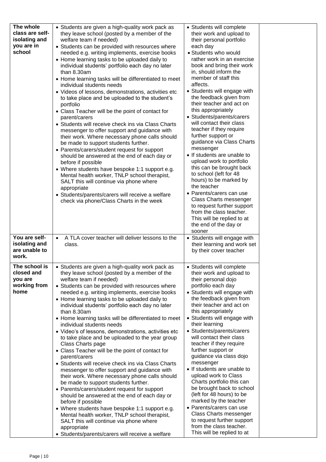| The whole<br>class are self-<br>isolating and<br>you are in<br>school                                                      | • Students are given a high-quality work pack as<br>they leave school (posted by a member of the<br>welfare team if needed)<br>• Students can be provided with resources where<br>needed e.g. writing implements, exercise books<br>• Home learning tasks to be uploaded daily to<br>individual students' portfolio each day no later<br>than 8.30am<br>• Home learning tasks will be differentiated to meet<br>individual students needs<br>• Videos of lessons, demonstrations, activities etc<br>to take place and be uploaded to the student's<br>portfolio<br>• Class Teacher will be the point of contact for<br>parent/carers<br>• Students will receive check ins via Class Charts<br>messenger to offer support and guidance with<br>their work. Where necessary phone calls should<br>be made to support students further.<br>• Parents/carers/student request for support<br>should be answered at the end of each day or<br>before if possible<br>• Where students have bespoke 1:1 support e.g.<br>Mental health worker, TNLP school therapist,<br>SALT this will continue via phone where<br>appropriate<br>• Students/parents/carers will receive a welfare<br>check via phone/Class Charts in the week                                         | • Students will complete<br>their work and upload to<br>their personal portfolio<br>each day<br>· Students who would<br>rather work in an exercise<br>book and bring their work<br>in, should inform the<br>member of staff this<br>affects.<br>• Students will engage with<br>the feedback given from<br>their teacher and act on<br>this appropriately<br>• Students/parents/carers<br>will contact their class<br>teacher if they require<br>further support or<br>guidance via Class Charts<br>messenger<br>• If students are unable to<br>upload work to portfolio<br>this can be brought back<br>to school (left for 48<br>hours) to be marked by<br>the teacher<br>• Parents/carers can use<br>Class Charts messenger<br>to request further support<br>from the class teacher.<br>This will be replied to at<br>the end of the day or<br>sooner |  |
|----------------------------------------------------------------------------------------------------------------------------|----------------------------------------------------------------------------------------------------------------------------------------------------------------------------------------------------------------------------------------------------------------------------------------------------------------------------------------------------------------------------------------------------------------------------------------------------------------------------------------------------------------------------------------------------------------------------------------------------------------------------------------------------------------------------------------------------------------------------------------------------------------------------------------------------------------------------------------------------------------------------------------------------------------------------------------------------------------------------------------------------------------------------------------------------------------------------------------------------------------------------------------------------------------------------------------------------------------------------------------------------------------|--------------------------------------------------------------------------------------------------------------------------------------------------------------------------------------------------------------------------------------------------------------------------------------------------------------------------------------------------------------------------------------------------------------------------------------------------------------------------------------------------------------------------------------------------------------------------------------------------------------------------------------------------------------------------------------------------------------------------------------------------------------------------------------------------------------------------------------------------------|--|
| You are self-<br>isolating and<br>are unable to<br>work.<br>The school is<br>closed and<br>you are<br>working from<br>home | A TLA cover teacher will deliver lessons to the<br>$\bullet$<br>class.<br>• Students are given a high-quality work pack as<br>they leave school (posted by a member of the<br>welfare team if needed)<br>• Students can be provided with resources where<br>needed e.g. writing implements, exercise books<br>• Home learning tasks to be uploaded daily to<br>individual students' portfolio each day no later<br>than 8.30am<br>• Home learning tasks will be differentiated to meet<br>individual students needs<br>• Video's of lessons, demonstrations, activities etc<br>to take place and be uploaded to the year group<br>Class Charts page<br>• Class Teacher will be the point of contact for<br>parent/carers<br>• Students will receive check ins via Class Charts<br>messenger to offer support and guidance with<br>their work. Where necessary phone calls should<br>be made to support students further.<br>• Parents/carers/student request for support<br>should be answered at the end of each day or<br>before if possible<br>• Where students have bespoke 1:1 support e.g.<br>Mental health worker, TNLP school therapist,<br>SALT this will continue via phone where<br>appropriate<br>· Students/parents/carers will receive a welfare | • Students will engage with<br>their learning and work set<br>by their cover teacher<br>• Students will complete<br>their work and upload to<br>their personal dojo<br>portfolio each day<br>• Students will engage with<br>the feedback given from<br>their teacher and act on<br>this appropriately<br>• Students will engage with<br>their learning<br>• Students/parents/carers<br>will contact their class<br>teacher if they require<br>further support or<br>guidance via class dojo<br>messenger<br>• If students are unable to<br>upload work to Class<br>Charts portfolio this can<br>be brought back to school<br>(left for 48 hours) to be<br>marked by the teacher<br>• Parents/carers can use<br>Class Charts messenger<br>to request further support<br>from the class teacher.<br>This will be replied to at                           |  |